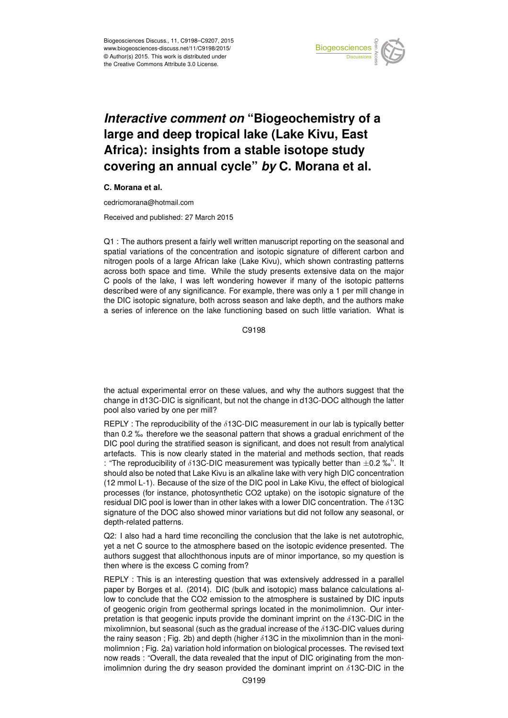

## *Interactive comment on* **"Biogeochemistry of a large and deep tropical lake (Lake Kivu, East Africa): insights from a stable isotope study covering an annual cycle"** *by* **C. Morana et al.**

## **C. Morana et al.**

cedricmorana@hotmail.com

Received and published: 27 March 2015

Q1 : The authors present a fairly well written manuscript reporting on the seasonal and spatial variations of the concentration and isotopic signature of different carbon and nitrogen pools of a large African lake (Lake Kivu), which shown contrasting patterns across both space and time. While the study presents extensive data on the major C pools of the lake, I was left wondering however if many of the isotopic patterns described were of any significance. For example, there was only a 1 per mill change in the DIC isotopic signature, both across season and lake depth, and the authors make a series of inference on the lake functioning based on such little variation. What is

C9198

the actual experimental error on these values, and why the authors suggest that the change in d13C-DIC is significant, but not the change in d13C-DOC although the latter pool also varied by one per mill?

REPLY : The reproducibility of the  $\delta$ 13C-DIC measurement in our lab is typically better than 0.2 ‰ therefore we the seasonal pattern that shows a gradual enrichment of the DIC pool during the stratified season is significant, and does not result from analytical artefacts. This is now clearly stated in the material and methods section, that reads : "The reproducibility of  $\delta$ 13C-DIC measurement was typically better than  $\pm$ 0.2 ‰". It should also be noted that Lake Kivu is an alkaline lake with very high DIC concentration (12 mmol L-1). Because of the size of the DIC pool in Lake Kivu, the effect of biological processes (for instance, photosynthetic CO2 uptake) on the isotopic signature of the residual DIC pool is lower than in other lakes with a lower DIC concentration. The  $\delta$ 13C signature of the DOC also showed minor variations but did not follow any seasonal, or depth-related patterns.

Q2: I also had a hard time reconciling the conclusion that the lake is net autotrophic, yet a net C source to the atmosphere based on the isotopic evidence presented. The authors suggest that allochthonous inputs are of minor importance, so my question is then where is the excess C coming from?

REPLY : This is an interesting question that was extensively addressed in a parallel paper by Borges et al. (2014). DIC (bulk and isotopic) mass balance calculations allow to conclude that the CO2 emission to the atmosphere is sustained by DIC inputs of geogenic origin from geothermal springs located in the monimolimnion. Our interpretation is that geogenic inputs provide the dominant imprint on the  $\delta$ 13C-DIC in the mixolimnion, but seasonal (such as the gradual increase of the  $\delta$ 13C-DIC values during the rainy season ; Fig. 2b) and depth (higher  $\delta$ 13C in the mixolimnion than in the monimolimnion ; Fig. 2a) variation hold information on biological processes. The revised text now reads : "Overall, the data revealed that the input of DIC originating from the monimolimnion during the dry season provided the dominant imprint on  $\delta$ 13C-DIC in the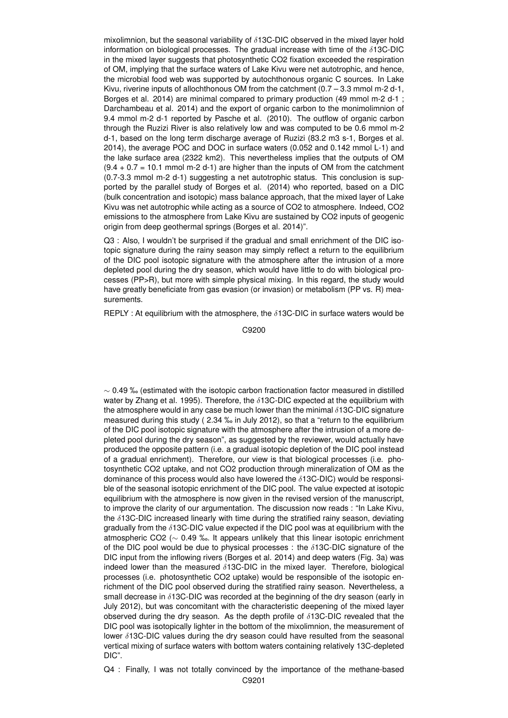mixolimnion, but the seasonal variability of  $\delta$ 13C-DIC observed in the mixed layer hold information on biological processes. The gradual increase with time of the  $\delta$ 13C-DIC in the mixed layer suggests that photosynthetic CO2 fixation exceeded the respiration of OM, implying that the surface waters of Lake Kivu were net autotrophic, and hence, the microbial food web was supported by autochthonous organic C sources. In Lake Kivu, riverine inputs of allochthonous OM from the catchment  $(0.7 - 3.3$  mmol m-2 d-1, Borges et al. 2014) are minimal compared to primary production (49 mmol m-2 d-1 ; Darchambeau et al. 2014) and the export of organic carbon to the monimolimnion of 9.4 mmol m-2 d-1 reported by Pasche et al. (2010). The outflow of organic carbon through the Ruzizi River is also relatively low and was computed to be 0.6 mmol m-2 d-1, based on the long term discharge average of Ruzizi (83.2 m3 s-1, Borges et al. 2014), the average POC and DOC in surface waters (0.052 and 0.142 mmol L-1) and the lake surface area (2322 km2). This nevertheless implies that the outputs of OM  $(9.4 + 0.7 = 10.1$  mmol m-2 d-1) are higher than the inputs of OM from the catchment (0.7-3.3 mmol m-2 d-1) suggesting a net autotrophic status. This conclusion is supported by the parallel study of Borges et al. (2014) who reported, based on a DIC (bulk concentration and isotopic) mass balance approach, that the mixed layer of Lake Kivu was net autotrophic while acting as a source of CO2 to atmosphere. Indeed, CO2 emissions to the atmosphere from Lake Kivu are sustained by CO2 inputs of geogenic origin from deep geothermal springs (Borges et al. 2014)".

Q3 : Also, I wouldn't be surprised if the gradual and small enrichment of the DIC isotopic signature during the rainy season may simply reflect a return to the equilibrium of the DIC pool isotopic signature with the atmosphere after the intrusion of a more depleted pool during the dry season, which would have little to do with biological processes (PP>R), but more with simple physical mixing. In this regard, the study would have greatly beneficiate from gas evasion (or invasion) or metabolism (PP vs. R) measurements.

REPLY : At equilibrium with the atmosphere, the  $\delta$ 13C-DIC in surface waters would be

C9200

 $\sim$  0.49 ‰ (estimated with the isotopic carbon fractionation factor measured in distilled water by Zhang et al. 1995). Therefore, the δ13C-DIC expected at the equilibrium with the atmosphere would in any case be much lower than the minimal  $\delta$ 13C-DIC signature measured during this study ( 2.34 ‰ in July 2012), so that a "return to the equilibrium of the DIC pool isotopic signature with the atmosphere after the intrusion of a more depleted pool during the dry season", as suggested by the reviewer, would actually have produced the opposite pattern (i.e. a gradual isotopic depletion of the DIC pool instead of a gradual enrichment). Therefore, our view is that biological processes (i.e. photosynthetic CO2 uptake, and not CO2 production through mineralization of OM as the dominance of this process would also have lowered the  $\delta$ 13C-DIC) would be responsible of the seasonal isotopic enrichment of the DIC pool. The value expected at isotopic equilibrium with the atmosphere is now given in the revised version of the manuscript, to improve the clarity of our argumentation. The discussion now reads : "In Lake Kivu, the  $\delta$ 13C-DIC increased linearly with time during the stratified rainy season, deviating gradually from the  $\delta$ 13C-DIC value expected if the DIC pool was at equilibrium with the atmospheric CO2 ( $\sim$  0.49 ‰. It appears unlikely that this linear isotopic enrichment of the DIC pool would be due to physical processes : the  $\delta$ 13C-DIC signature of the DIC input from the inflowing rivers (Borges et al. 2014) and deep waters (Fig. 3a) was indeed lower than the measured  $\delta$ 13C-DIC in the mixed layer. Therefore, biological processes (i.e. photosynthetic CO2 uptake) would be responsible of the isotopic enrichment of the DIC pool observed during the stratified rainy season. Nevertheless, a small decrease in  $\delta$ 13C-DIC was recorded at the beginning of the dry season (early in July 2012), but was concomitant with the characteristic deepening of the mixed layer observed during the dry season. As the depth profile of  $\delta$ 13C-DIC revealed that the DIC pool was isotopically lighter in the bottom of the mixolimnion, the measurement of lower δ13C-DIC values during the dry season could have resulted from the seasonal vertical mixing of surface waters with bottom waters containing relatively 13C-depleted DIC".

Q4 : Finally, I was not totally convinced by the importance of the methane-based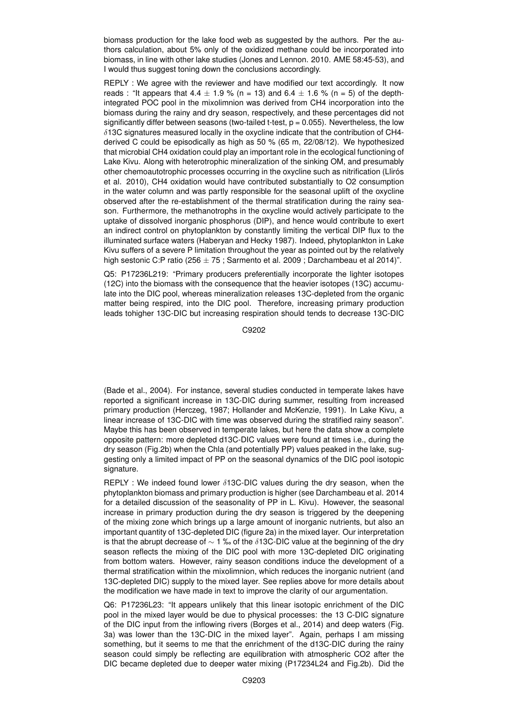biomass production for the lake food web as suggested by the authors. Per the authors calculation, about 5% only of the oxidized methane could be incorporated into biomass, in line with other lake studies (Jones and Lennon. 2010. AME 58:45-53), and I would thus suggest toning down the conclusions accordingly.

REPLY : We agree with the reviewer and have modified our text accordingly. It now reads : "It appears that  $4.4 \pm 1.9$  % (n = 13) and  $6.4 \pm 1.6$  % (n = 5) of the depthintegrated POC pool in the mixolimnion was derived from CH4 incorporation into the biomass during the rainy and dry season, respectively, and these percentages did not significantly differ between seasons (two-tailed t-test,  $p = 0.055$ ). Nevertheless, the low  $\delta$ 13C signatures measured locally in the oxycline indicate that the contribution of CH4derived C could be episodically as high as 50 % (65 m, 22/08/12). We hypothesized that microbial CH4 oxidation could play an important role in the ecological functioning of Lake Kivu. Along with heterotrophic mineralization of the sinking OM, and presumably other chemoautotrophic processes occurring in the oxycline such as nitrification (Llirós et al. 2010), CH4 oxidation would have contributed substantially to O2 consumption in the water column and was partly responsible for the seasonal uplift of the oxycline observed after the re-establishment of the thermal stratification during the rainy season. Furthermore, the methanotrophs in the oxycline would actively participate to the uptake of dissolved inorganic phosphorus (DIP), and hence would contribute to exert an indirect control on phytoplankton by constantly limiting the vertical DIP flux to the illuminated surface waters (Haberyan and Hecky 1987). Indeed, phytoplankton in Lake Kivu suffers of a severe P limitation throughout the year as pointed out by the relatively high sestonic C:P ratio (256  $\pm$  75 ; Sarmento et al. 2009 ; Darchambeau et al 2014)".

Q5: P17236L219: "Primary producers preferentially incorporate the lighter isotopes (12C) into the biomass with the consequence that the heavier isotopes (13C) accumulate into the DIC pool, whereas mineralization releases 13C-depleted from the organic matter being respired, into the DIC pool. Therefore, increasing primary production leads tohigher 13C-DIC but increasing respiration should tends to decrease 13C-DIC

C9202

(Bade et al., 2004). For instance, several studies conducted in temperate lakes have reported a significant increase in 13C-DIC during summer, resulting from increased primary production (Herczeg, 1987; Hollander and McKenzie, 1991). In Lake Kivu, a linear increase of 13C-DIC with time was observed during the stratified rainy season". Maybe this has been observed in temperate lakes, but here the data show a complete opposite pattern: more depleted d13C-DIC values were found at times i.e., during the dry season (Fig.2b) when the Chla (and potentially PP) values peaked in the lake, suggesting only a limited impact of PP on the seasonal dynamics of the DIC pool isotopic signature.

REPLY : We indeed found lower δ13C-DIC values during the dry season, when the phytoplankton biomass and primary production is higher (see Darchambeau et al. 2014 for a detailed discussion of the seasonality of PP in L. Kivu). However, the seasonal increase in primary production during the dry season is triggered by the deepening of the mixing zone which brings up a large amount of inorganic nutrients, but also an important quantity of 13C-depleted DIC (figure 2a) in the mixed layer. Our interpretation is that the abrupt decrease of  $\sim$  1 ‰ of the  $\delta$ 13C-DIC value at the beginning of the dry season reflects the mixing of the DIC pool with more 13C-depleted DIC originating from bottom waters. However, rainy season conditions induce the development of a thermal stratification within the mixolimnion, which reduces the inorganic nutrient (and 13C-depleted DIC) supply to the mixed layer. See replies above for more details about the modification we have made in text to improve the clarity of our argumentation.

Q6: P17236L23: "It appears unlikely that this linear isotopic enrichment of the DIC pool in the mixed layer would be due to physical processes: the 13 C-DIC signature of the DIC input from the inflowing rivers (Borges et al., 2014) and deep waters (Fig. 3a) was lower than the 13C-DIC in the mixed layer". Again, perhaps I am missing something, but it seems to me that the enrichment of the d13C-DIC during the rainy season could simply be reflecting are equilibration with atmospheric CO2 after the DIC became depleted due to deeper water mixing (P17234L24 and Fig.2b). Did the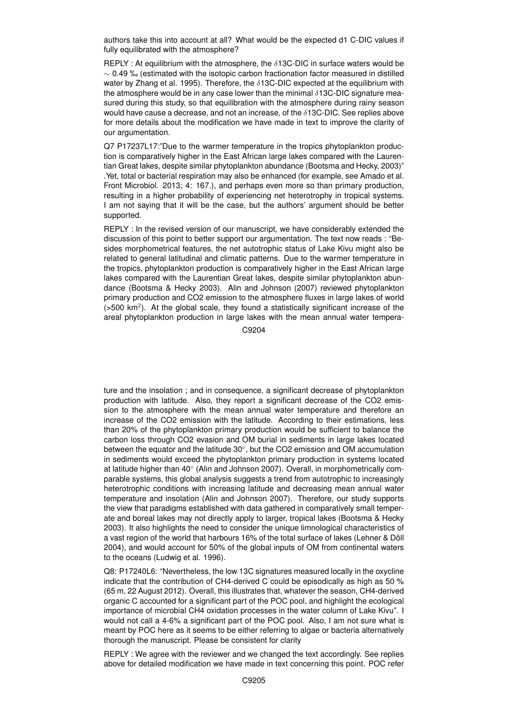authors take this into account at all? What would be the expected d1 C-DIC values if fully equilibrated with the atmosphere?

REPLY : At equilibrium with the atmosphere, the  $\delta$ 13C-DIC in surface waters would be  $\sim$  0.49 ‰ (estimated with the isotopic carbon fractionation factor measured in distilled water by Zhang et al. 1995). Therefore, the  $\delta$ 13C-DIC expected at the equilibrium with the atmosphere would be in any case lower than the minimal  $\delta$ 13C-DIC signature measured during this study, so that equilibration with the atmosphere during rainy season would have cause a decrease, and not an increase, of the  $\delta$ 13C-DIC. See replies above for more details about the modification we have made in text to improve the clarity of our argumentation.

Q7 P17237L17:"Due to the warmer temperature in the tropics phytoplankton production is comparatively higher in the East African large lakes compared with the Laurentian Great lakes, despite similar phytoplankton abundance (Bootsma and Hecky, 2003)" .Yet, total or bacterial respiration may also be enhanced (for example, see Amado et al. Front Microbiol. 2013; 4: 167.), and perhaps even more so than primary production, resulting in a higher probability of experiencing net heterotrophy in tropical systems. I am not saying that it will be the case, but the authors' argument should be better supported.

REPLY : In the revised version of our manuscript, we have considerably extended the discussion of this point to better support our argumentation. The text now reads : "Besides morphometrical features, the net autotrophic status of Lake Kivu might also be related to general latitudinal and climatic patterns. Due to the warmer temperature in the tropics, phytoplankton production is comparatively higher in the East African large lakes compared with the Laurentian Great lakes, despite similar phytoplankton abundance (Bootsma & Hecky 2003). Alin and Johnson (2007) reviewed phytoplankton primary production and CO2 emission to the atmosphere fluxes in large lakes of world  $($ >500 km<sup>2</sup>). At the global scale, they found a statistically significant increase of the areal phytoplankton production in large lakes with the mean annual water tempera-

C9204

ture and the insolation ; and in consequence, a significant decrease of phytoplankton production with latitude. Also, they report a significant decrease of the CO2 emission to the atmosphere with the mean annual water temperature and therefore an increase of the CO2 emission with the latitude. According to their estimations, less than 20% of the phytoplankton primary production would be sufficient to balance the carbon loss through CO2 evasion and OM burial in sediments in large lakes located between the equator and the latitude 30◦ , but the CO2 emission and OM accumulation in sediments would exceed the phytoplankton primary production in systems located at latitude higher than 40◦ (Alin and Johnson 2007). Overall, in morphometrically comparable systems, this global analysis suggests a trend from autotrophic to increasingly heterotrophic conditions with increasing latitude and decreasing mean annual water temperature and insolation (Alin and Johnson 2007). Therefore, our study supports the view that paradigms established with data gathered in comparatively small temperate and boreal lakes may not directly apply to larger, tropical lakes (Bootsma & Hecky 2003). It also highlights the need to consider the unique limnological characteristics of a vast region of the world that harbours 16% of the total surface of lakes (Lehner & Döll 2004), and would account for 50% of the global inputs of OM from continental waters to the oceans (Ludwig et al. 1996).

Q8: P17240L6: "Nevertheless, the low 13C signatures measured locally in the oxycline indicate that the contribution of CH4-derived C could be episodically as high as 50 % (65 m, 22 August 2012). Overall, this illustrates that, whatever the season, CH4-derived organic C accounted for a significant part of the POC pool, and highlight the ecological importance of microbial CH4 oxidation processes in the water column of Lake Kivu". I would not call a 4-6% a significant part of the POC pool. Also, I am not sure what is meant by POC here as it seems to be either referring to algae or bacteria alternatively thorough the manuscript. Please be consistent for clarity

REPLY : We agree with the reviewer and we changed the text accordingly. See replies above for detailed modification we have made in text concerning this point. POC refer